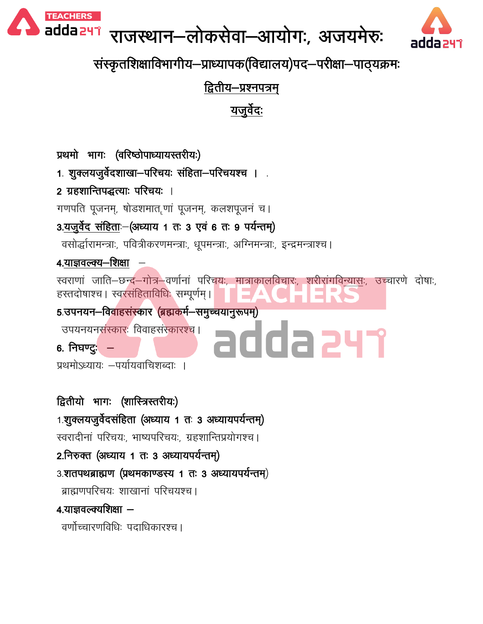

# राजस्थान-लोकसेवा-आयोगः, अजयमेरुः



संस्कृतशिक्षाविभागीय-प्राध्यापक(विद्यालय)पद-परीक्षा-पाठ्यक्रमः

द्वितीय–प्रश्नपत्रम्

यजूर्वेदः

प्रथमो भागः (वरिष्ठोपाध्यायस्तरीयः)

1. शुक्लयजुर्वेदशाखा-परिचयः संहिता-परिचयश्च । .

2 ग्रहशान्तिपद्धत्याः परिचयः ।

गणपति पूजनम्, षोडशमात.णां पूजनम्, कलशपूजनं च।

3.यजुर्वेद संहिताः-(अध्याय 1 तः 3 एवं 6 तः 9 पर्यन्तम्)

वसोर्द्धारामन्त्राः, पवित्रीकरणमन्त्राः, धूपमन्त्राः, अग्निमन्त्राः, इन्द्रमन्त्राश्च ।

4.याज्ञवल्क्य—शिक्षा

स्वराणां जाति—छन्द—गोत्र—वर्णानां परिचयः, मात्राकालविचारः, शरीरांगवि<u>न्यासः,</u> उच्चारणे दोषाः, हस्तदोषाश्च । स्वरसंहिताविधिः सम्पूर्णम् । <u>5 उपनयन–विवाहसंस्कार (ब्रह्मकर्म–समुच्चयानुरूपम्)</u> उपयनयनसंस्कारः विवाहसंस्कारश्च । dda 247

6. निघण्ट्र $-$ 

प्रथमोऽध्यायः —पर्यायवाचिशब्दाः ।

द्वितीयो भागः (शास्त्रिस्तरीयः) 1.शुक्लयजुर्वेदसंहिता (अध्याय 1 तः 3 अध्यायपर्यन्तम्) स्वरादीनां परिचयः, भाष्यपरिचयः, ग्रहशान्तिप्रयोगश्च। 2.निरुक्त (अध्याय 1 तः 3 अध्यायपर्यन्तम्) 3.शतपथब्राह्मण (प्रथमकाण्डस्य 1 तः 3 अध्यायपर्यन्तम्) ब्राह्मणपरिचयः शाखानां परिचयश्च । 4.याज्ञवल्क्यशिक्षा — वर्णोच्चारणविधि: पदाधिकारश्च ।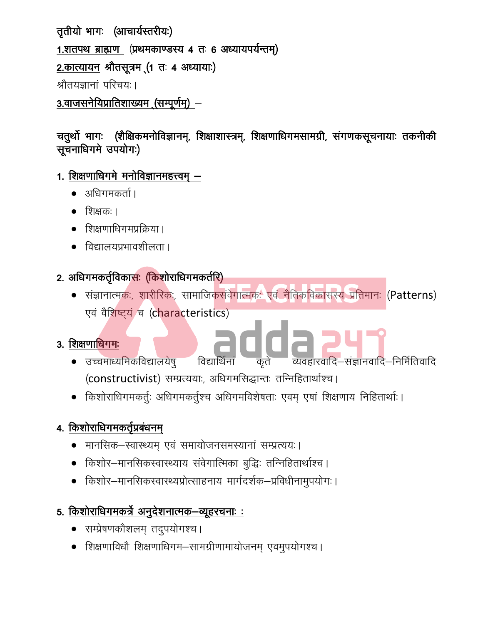तृतीयो भागः (आचार्यस्तरीयः) 1.शतपथ ब्राह्मण (प्रथमकाण्डस्य 4 तः 6 अध्यायपर्यन्तम्) 2. कात्यायन श्रौतसूत्रम (1 तः 4 अध्यायाः) श्रौतयज्ञानां परिचयः । 3.वाजसनेयिप्रातिशाख्यम (सम्पूर्णम्) –

चतुर्थो भागः (शैक्षिकमनोविज्ञानम्, शिक्षाशास्त्रम्, शिक्षणाधिगमसामग्री, संगणकसूचनायाः तकनीकी सूचनाधिगमे उपयोगः)

- <u>1. शिक्षणाधिगमे मनोविज्ञानमहत्त्वम् –</u>
	- अधिगमकर्ता ।
	- शिक्षकः ।
	- शिक्षणाधिगमप्रक्रिया ।
	- विद्यालयप्रभावशीलता ।

#### 2. अधिगमकर्तृविकासः (किशोराधिगमकर्तरि)

• संज्ञानात्मकः, शारीरिकः, सामाजिकसंवेगात्मकः एवं नैतिकविकासस्य प्रतिमानः (Patterns) एवं वैशिष्ट्यं च (characteristics)

#### 3. शिक्षणाधिगमः

- adda 247 • उच्चमाध्यमिकविद्यालयेषु व्यवहारवादि–संज्ञानवादि–निर्मितिवादि विद्यार्थिनां (constructivist) सम्प्रत्ययाः, अधिगमसिद्धान्तः तन्निहितार्थाश्च।
- किशोराधिगमकर्तुः अधिगमकर्तुश्च अधिगमविशेषताः एवम् एषां शिक्षणाय निहितार्थाः ।

## 4. किशोराधिगमकर्तृप्रबंधनम्

- मानसिक–स्वास्थ्यम् एवं समायोजनसमस्यानां सम्प्रत्ययः।
- किशोर–मानसिकस्वास्थ्याय संवेगात्मिका बुद्धिः तन्निहितार्थाश्च ।
- किशोर–मानसिकस्वास्थ्यप्रोत्साहनाय मार्गदर्शक–प्रविधीनामुपयोगः ।

#### <u> 5. किशोराधिगमकर्त्रे अनुदेशनात्मक–व्यूहरचनाः :</u>

- सम्प्रेषणकौशलम् तदुपयोगश्च ।
- शिक्षणाविधौ शिक्षणाधिगम-सामग्रीणामायोजनम् एवमुपयोगश्च ।